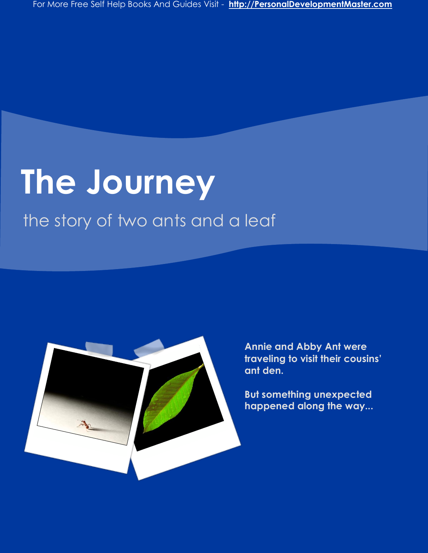## **The Journey**

the story of two ants and a leaf



**Annie and Abby Ant were traveling to visit their cousins' ant den.**

**But something unexpected happened along the way...**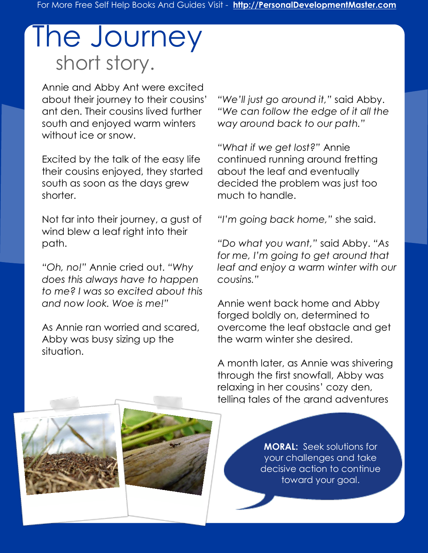## The Journey short story.

Annie and Abby Ant were excited about their journey to their cousins' ant den. Their cousins lived further south and enjoyed warm winters without ice or snow.

Excited by the talk of the easy life their cousins enjoyed, they started south as soon as the days grew shorter.

Not far into their journey, a gust of wind blew a leaf right into their path.

*"Oh, no!"* Annie cried out. *"Why does this always have to happen to me? I was so excited about this and now look. Woe is me!"*

As Annie ran worried and scared, Abby was busy sizing up the situation.

*"We'll just go around it,"* said Abby. *"We can follow the edge of it all the way around back to our path."*

*"What if we get lost?"* Annie continued running around fretting about the leaf and eventually decided the problem was just too much to handle.

*"I'm going back home,"* she said.

*"Do what you want,"* said Abby. *"As for me, I'm going to get around that leaf and enjoy a warm winter with our cousins."*

Annie went back home and Abby forged boldly on, determined to overcome the leaf obstacle and get the warm winter she desired.

A month later, as Annie was shivering through the first snowfall, Abby was relaxing in her cousins' cozy den, telling tales of the grand adventures

of her journey.

**MORAL:** Seek solutions for your challenges and take decisive action to continue toward your goal.